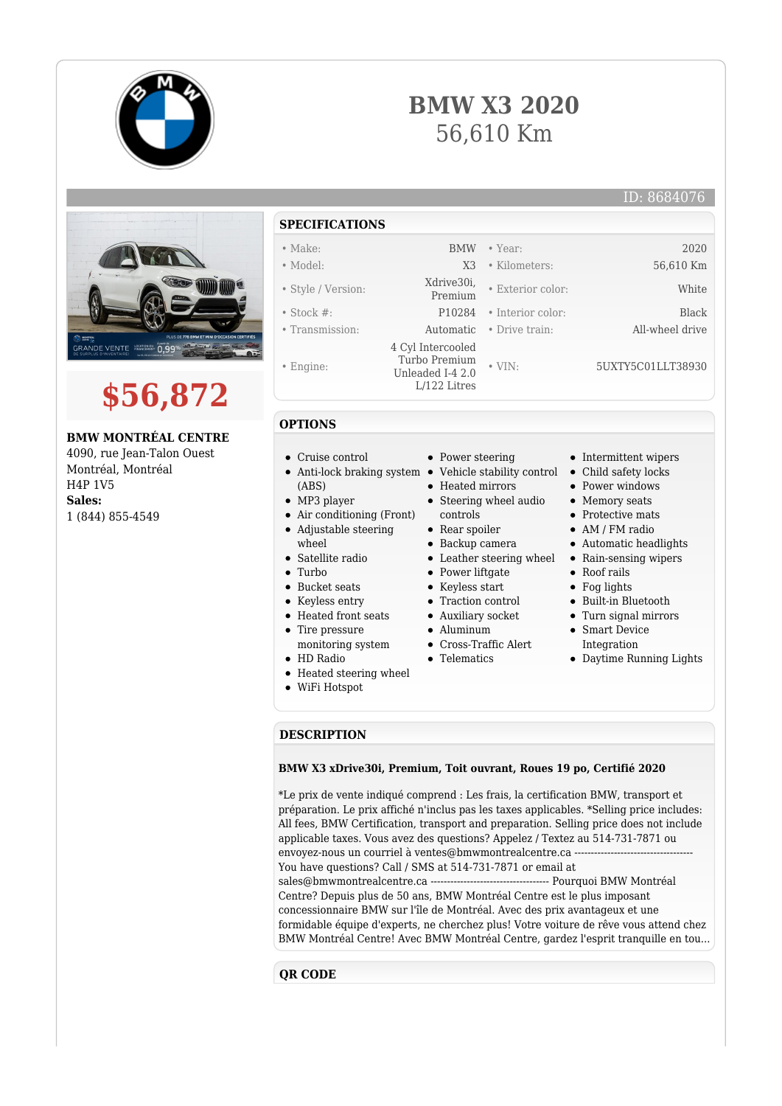

## **BMW X3 2020** 56,610 Km



# **\$56,872**

#### **BMW MONTRÉAL CENTRE**

4090, rue Jean-Talon Ouest Montréal, Montréal H4P 1V5 **Sales:** 1 (844) 855-4549

### **SPECIFICATIONS**

#### • Make: BMW • Year: 2020

- Model: X3 Kilometers: 56,610 Km
- Style / Version: Xdrive30i,
- Stock #: P10284 Interior color: Black
- Transmission: Automatic Drive train: All-wheel drive
- Engine:
- 

#### **OPTIONS**

- Cruise control
- Anti-lock braking system Vehicle stability control Child safety locks
- (ABS)
- MP3 player
- Air conditioning (Front)
- Adjustable steering wheel
- Satellite radio
- Turbo
- Bucket seats
- Keyless entry
- Heated front seats
- Tire pressure
- monitoring system
- HD Radio
- Heated steering wheel
- WiFi Hotspot
- 
- 
- 
- 
- 
- 
- 
- 
- 
- 
- 
- 
- 
- Cross-Traffic Alert
- Telematics
- Intermittent wipers
- 
- Power windows
- Memory seats

• Exterior color: White

• VIN: 5UXTY5C01LLT38930

- Protective mats
- AM / FM radio
- Automatic headlights
- 
- Roof rails
- Fog lights
- Built-in Bluetooth
- Turn signal mirrors
- Smart Device
	- Integration
- Daytime Running Lights

#### **DESCRIPTION**

#### **BMW X3 xDrive30i, Premium, Toit ouvrant, Roues 19 po, Certifié 2020**

\*Le prix de vente indiqué comprend : Les frais, la certification BMW, transport et préparation. Le prix affiché n'inclus pas les taxes applicables. \*Selling price includes: All fees, BMW Certification, transport and preparation. Selling price does not include applicable taxes. Vous avez des questions? Appelez / Textez au 514-731-7871 ou envoyez-nous un courriel à ventes@bmwmontrealcentre.ca --You have questions? Call / SMS at 514-731-7871 or email at sales@bmwmontrealcentre.ca ------------------------------------ Pourquoi BMW Montréal Centre? Depuis plus de 50 ans, BMW Montréal Centre est le plus imposant concessionnaire BMW sur l'île de Montréal. Avec des prix avantageux et une formidable équipe d'experts, ne cherchez plus! Votre voiture de rêve vous attend chez BMW Montréal Centre! Avec BMW Montréal Centre, gardez l'esprit tranquille en tou...

#### **QR CODE**

• Power steering

 4 Cyl Intercooled Turbo Premium Unleaded I-4 2.0 L/122 Litres

- - Heated mirrors
	- Steering wheel audio
		- controls
	- Rear spoiler
	- Backup camera
	- Leather steering wheel Rain-sensing wipers
	- Power liftgate
	- Keyless start
	- Traction control
	- Auxiliary socket
	- Aluminum